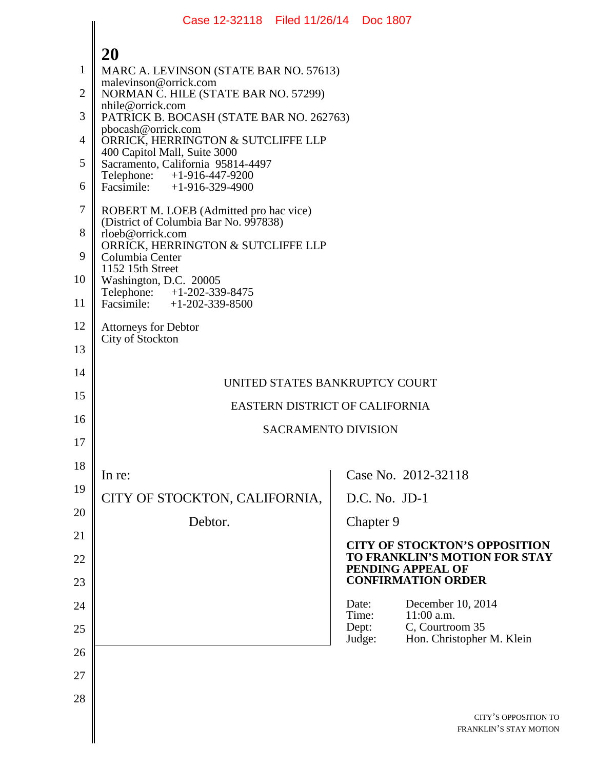|                | Case 12-32118 Filed 11/26/14 Doc 1807                                           |                                                                       |
|----------------|---------------------------------------------------------------------------------|-----------------------------------------------------------------------|
|                | 20                                                                              |                                                                       |
| $\mathbf{1}$   | MARC A. LEVINSON (STATE BAR NO. 57613)                                          |                                                                       |
| $\overline{2}$ | malevinson@orrick.com<br>NORMAN C. HILE (STATE BAR NO. 57299)                   |                                                                       |
| 3              | nhile@orrick.com<br>PATRICK B. BOCASH (STATE BAR NO. 262763)                    |                                                                       |
| 4              | pbocash@orrick.com<br>ORRICK, HERRINGTON & SUTCLIFFE LLP                        |                                                                       |
| 5              | 400 Capitol Mall, Suite 3000<br>Sacramento, California 95814-4497               |                                                                       |
| 6              | Telephone: +1-916-447-9200<br>Facsimile: +1-916-329-4900                        |                                                                       |
| $\tau$         | ROBERT M. LOEB (Admitted pro hac vice)<br>(District of Columbia Bar No. 997838) |                                                                       |
| 8              | rloeb@orrick.com<br>ORRICK, HERRINGTON & SUTCLIFFE LLP                          |                                                                       |
| 9              | Columbia Center<br>1152 15th Street                                             |                                                                       |
| 10             | Washington, D.C. 20005                                                          |                                                                       |
| 11             | Telephone: +1-202-339-8475<br>Facsimile: +1-202-339-8500                        |                                                                       |
| 12             | <b>Attorneys for Debtor</b><br>City of Stockton                                 |                                                                       |
| 13             |                                                                                 |                                                                       |
| 14             | UNITED STATES BANKRUPTCY COURT                                                  |                                                                       |
| 15             | EASTERN DISTRICT OF CALIFORNIA                                                  |                                                                       |
| 16             | <b>SACRAMENTO DIVISION</b>                                                      |                                                                       |
| 17             |                                                                                 |                                                                       |
| 18             | In re:                                                                          | Case No. 2012-32118                                                   |
| 19             | CITY OF STOCKTON, CALIFORNIA,                                                   | $D.C. No. JD-1$                                                       |
| 20             | Debtor.                                                                         | Chapter 9                                                             |
| 21             |                                                                                 | <b>CITY OF STOCKTON'S OPPOSITION</b><br>TO FRANKLIN'S MOTION FOR STAY |
| 22<br>23       |                                                                                 | PENDING APPEAL OF<br><b>CONFIRMATION ORDER</b>                        |
| 24             |                                                                                 | December 10, 2014<br>Date:                                            |
| 25             |                                                                                 | Time:<br>$11:00$ a.m.<br>Dept:<br>C, Courtroom 35                     |
| 26             |                                                                                 | Hon. Christopher M. Klein<br>Judge:                                   |
| 27             |                                                                                 |                                                                       |
| 28             |                                                                                 |                                                                       |
|                |                                                                                 | CITY'S OPPOSITION TO                                                  |
|                |                                                                                 | FRANKLIN'S STAY MOTION                                                |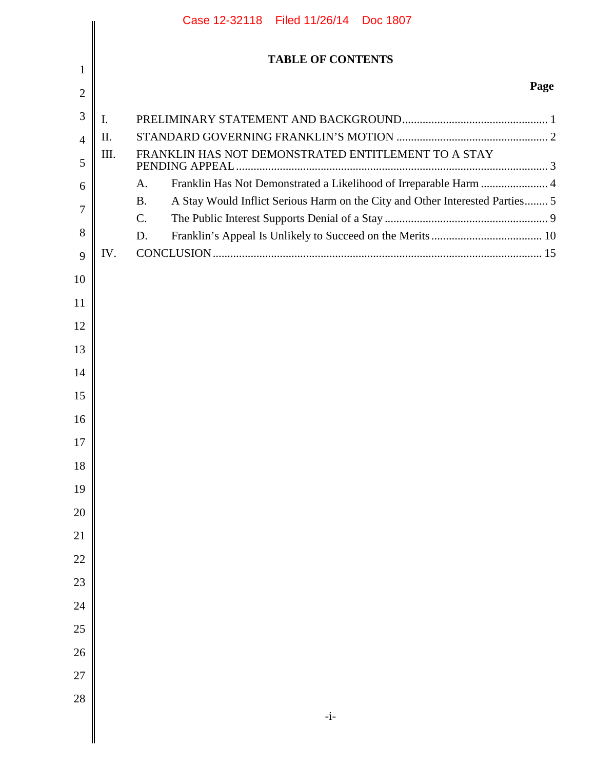|                | Case 12-32118 Filed 11/26/14 Doc 1807 |                                                                                           |  |  |  |  |
|----------------|---------------------------------------|-------------------------------------------------------------------------------------------|--|--|--|--|
|                | <b>TABLE OF CONTENTS</b>              |                                                                                           |  |  |  |  |
| 1              |                                       |                                                                                           |  |  |  |  |
| $\overline{2}$ |                                       | Page                                                                                      |  |  |  |  |
| 3              | $\mathbf{I}$ .                        |                                                                                           |  |  |  |  |
| $\overline{4}$ | Π.                                    |                                                                                           |  |  |  |  |
| 5              | III.                                  | FRANKLIN HAS NOT DEMONSTRATED ENTITLEMENT TO A STAY<br>PENDING APPEAL                     |  |  |  |  |
| 6              |                                       | Franklin Has Not Demonstrated a Likelihood of Irreparable Harm  4<br>A.                   |  |  |  |  |
| 7              |                                       | A Stay Would Inflict Serious Harm on the City and Other Interested Parties 5<br><b>B.</b> |  |  |  |  |
| 8              |                                       | C.<br>D.                                                                                  |  |  |  |  |
| 9              | IV.                                   |                                                                                           |  |  |  |  |
| 10             |                                       |                                                                                           |  |  |  |  |
| 11             |                                       |                                                                                           |  |  |  |  |
| 12             |                                       |                                                                                           |  |  |  |  |
| 13             |                                       |                                                                                           |  |  |  |  |
| 14             |                                       |                                                                                           |  |  |  |  |
| 15             |                                       |                                                                                           |  |  |  |  |
| 16             |                                       |                                                                                           |  |  |  |  |
| 17             |                                       |                                                                                           |  |  |  |  |
| 18             |                                       |                                                                                           |  |  |  |  |
| 19             |                                       |                                                                                           |  |  |  |  |
| 20             |                                       |                                                                                           |  |  |  |  |
| 21             |                                       |                                                                                           |  |  |  |  |
| $22\,$         |                                       |                                                                                           |  |  |  |  |
| 23             |                                       |                                                                                           |  |  |  |  |
| 24             |                                       |                                                                                           |  |  |  |  |
| 25             |                                       |                                                                                           |  |  |  |  |
| 26             |                                       |                                                                                           |  |  |  |  |
| $27\,$         |                                       |                                                                                           |  |  |  |  |
| 28             |                                       |                                                                                           |  |  |  |  |
|                |                                       | $-i-$                                                                                     |  |  |  |  |
|                |                                       |                                                                                           |  |  |  |  |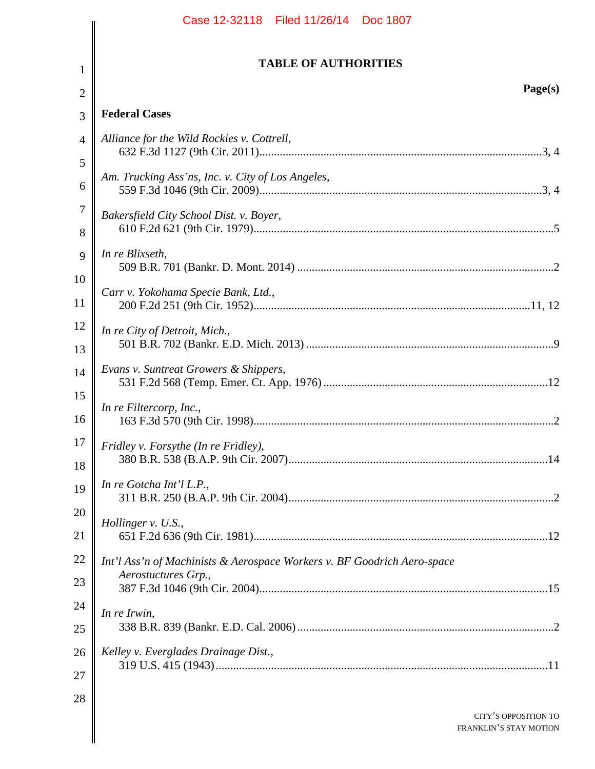|                | Case 12-32118 Filed 11/26/14 Doc 1807                                   |  |  |  |
|----------------|-------------------------------------------------------------------------|--|--|--|
|                | <b>TABLE OF AUTHORITIES</b>                                             |  |  |  |
| 1              |                                                                         |  |  |  |
| $\mathfrak{2}$ | Page(s)                                                                 |  |  |  |
| 3              | <b>Federal Cases</b>                                                    |  |  |  |
| $\overline{4}$ | Alliance for the Wild Rockies v. Cottrell,                              |  |  |  |
| 5              | Am. Trucking Ass'ns, Inc. v. City of Los Angeles,                       |  |  |  |
| 6              |                                                                         |  |  |  |
| $\overline{7}$ | Bakersfield City School Dist. v. Boyer,                                 |  |  |  |
| 8              |                                                                         |  |  |  |
| 9              | In re Blixseth,                                                         |  |  |  |
| 10             | Carr v. Yokohama Specie Bank, Ltd.,                                     |  |  |  |
| 11             |                                                                         |  |  |  |
| 12<br>13       | In re City of Detroit, Mich.,                                           |  |  |  |
|                | Evans v. Suntreat Growers & Shippers,                                   |  |  |  |
| 14             |                                                                         |  |  |  |
| 15<br>16       | In re Filtercorp, Inc.,                                                 |  |  |  |
| 17<br>18       | Fridley v. Forsythe (In re Fridley),                                    |  |  |  |
| 19             | In re Gotcha Int'l L.P.,                                                |  |  |  |
| 20             | Hollinger v. U.S.,                                                      |  |  |  |
| 21             |                                                                         |  |  |  |
| 22             | Int'l Ass'n of Machinists & Aerospace Workers v. BF Goodrich Aero-space |  |  |  |
| 23             | Aerostuctures Grp.,                                                     |  |  |  |
| 24             | In re Irwin,                                                            |  |  |  |
| 25             |                                                                         |  |  |  |
| 26             | Kelley v. Everglades Drainage Dist.,                                    |  |  |  |
| 27             |                                                                         |  |  |  |
| 28             |                                                                         |  |  |  |
|                | CITY'S OPPOSITION TO<br><b>FRANKLIN'S STAY MOTION</b>                   |  |  |  |
|                |                                                                         |  |  |  |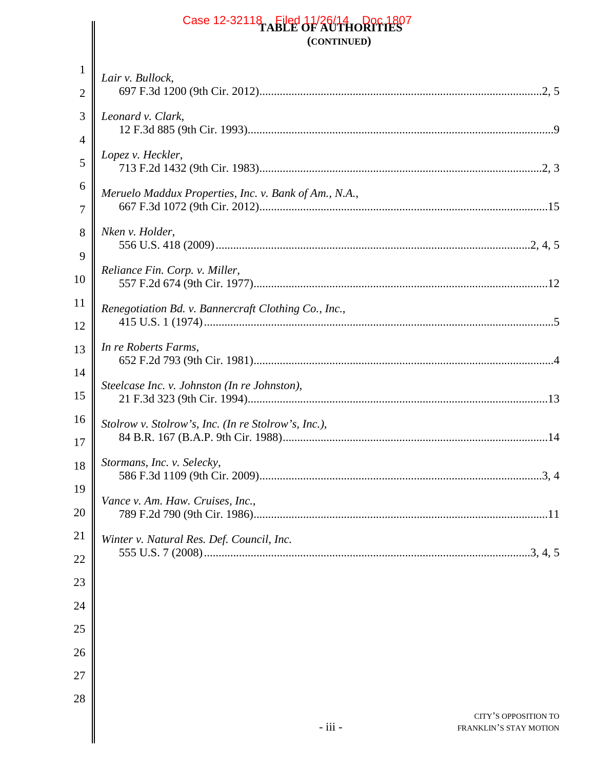# Case 12-32118 Filed 11/26/14 Doc 1807 **(CONTINUED)**

| 1              | Lair v. Bullock,                                      |
|----------------|-------------------------------------------------------|
| $\overline{2}$ |                                                       |
| 3              | Leonard v. Clark,                                     |
| 4              |                                                       |
| 5              | Lopez v. Heckler,                                     |
| 6              | Meruelo Maddux Properties, Inc. v. Bank of Am., N.A., |
| $\overline{7}$ |                                                       |
| 8              | Nken v. Holder,                                       |
| 9              |                                                       |
| 10             | Reliance Fin. Corp. v. Miller,                        |
| 11             | Renegotiation Bd. v. Bannercraft Clothing Co., Inc.,  |
| 12             |                                                       |
| 13             | In re Roberts Farms,                                  |
| 14             | Steelcase Inc. v. Johnston (In re Johnston),          |
| 15             |                                                       |
| 16             | Stolrow v. Stolrow's, Inc. (In re Stolrow's, Inc.),   |
| 17             |                                                       |
| 18             | Stormans, Inc. v. Selecky,                            |
| 19             | Vance v. Am. Haw. Cruises, Inc.,                      |
| 20             |                                                       |
| 21             | Winter v. Natural Res. Def. Council, Inc.             |
| 22             |                                                       |
| 23             |                                                       |
| 24<br>25       |                                                       |

26

 $\mathsf I$ 

27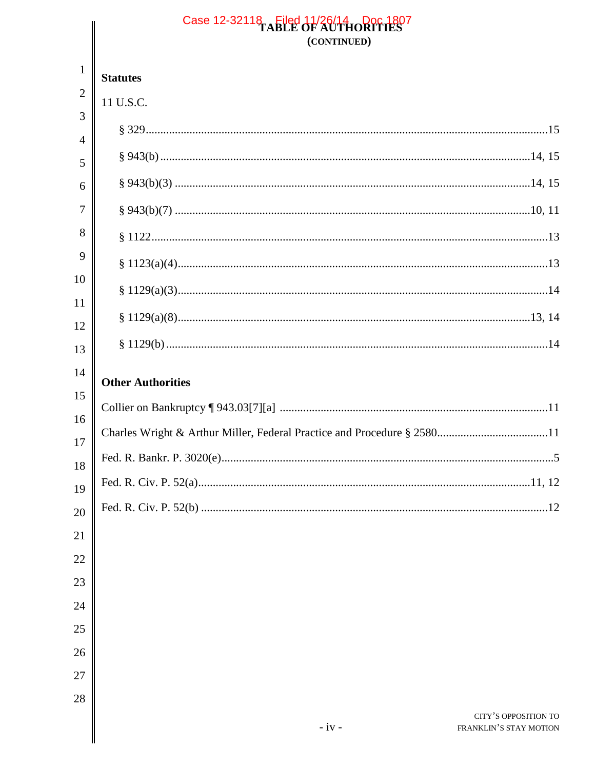|                     | Case 12-32118 Filed 11/26/14 Doc 1807<br>(CONTINUED)      |  |  |
|---------------------|-----------------------------------------------------------|--|--|
| $\mathbf{1}$        | <b>Statutes</b>                                           |  |  |
| $\overline{2}$      | 11 U.S.C.                                                 |  |  |
| 3<br>$\overline{4}$ |                                                           |  |  |
| 5                   |                                                           |  |  |
| 6                   |                                                           |  |  |
| 7                   |                                                           |  |  |
| 8                   |                                                           |  |  |
| 9                   |                                                           |  |  |
| 10                  |                                                           |  |  |
| 11                  |                                                           |  |  |
| 12<br>13            |                                                           |  |  |
| 14                  |                                                           |  |  |
| 15                  | <b>Other Authorities</b>                                  |  |  |
| 16                  |                                                           |  |  |
| 17                  |                                                           |  |  |
| 18                  |                                                           |  |  |
| 19                  |                                                           |  |  |
| 20                  |                                                           |  |  |
| 21                  |                                                           |  |  |
| 22                  |                                                           |  |  |
| 23<br>24            |                                                           |  |  |
| 25                  |                                                           |  |  |
| 26                  |                                                           |  |  |
| 27                  |                                                           |  |  |
| 28                  |                                                           |  |  |
|                     | CITY'S OPPOSITION TO<br>$-iv -$<br>FRANKLIN'S STAY MOTION |  |  |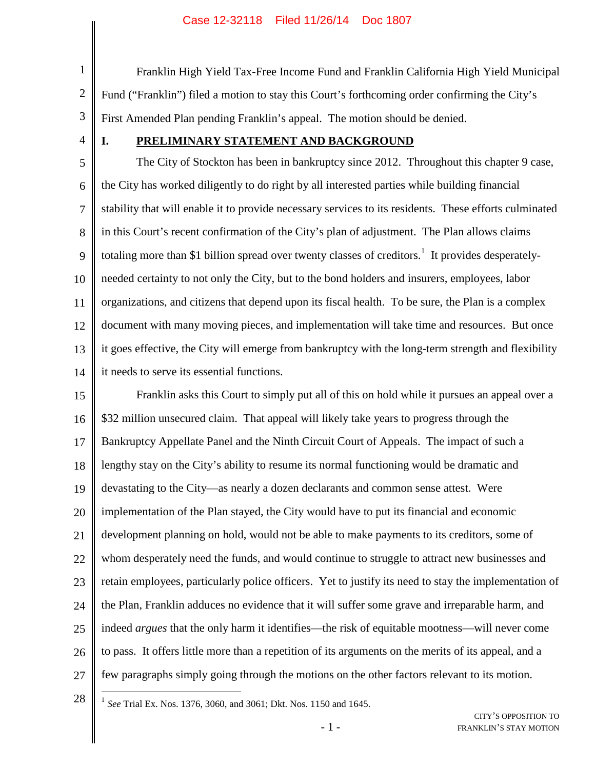3 Franklin High Yield Tax-Free Income Fund and Franklin California High Yield Municipal Fund ("Franklin") filed a motion to stay this Court's forthcoming order confirming the City's First Amended Plan pending Franklin's appeal. The motion should be denied.

4

1

2

## **I. PRELIMINARY STATEMENT AND BACKGROUND**

5 6 7 8 9 10 11 12 13 14 The City of Stockton has been in bankruptcy since 2012. Throughout this chapter 9 case, the City has worked diligently to do right by all interested parties while building financial stability that will enable it to provide necessary services to its residents. These efforts culminated in this Court's recent confirmation of the City's plan of adjustment. The Plan allows claims totaling more than \$1 billion spread over twenty classes of creditors.<sup>1</sup> It provides desperatelyneeded certainty to not only the City, but to the bond holders and insurers, employees, labor organizations, and citizens that depend upon its fiscal health. To be sure, the Plan is a complex document with many moving pieces, and implementation will take time and resources. But once it goes effective, the City will emerge from bankruptcy with the long-term strength and flexibility it needs to serve its essential functions.

15 16 17 18 19 20 21 22 23 24 25 26 27 Franklin asks this Court to simply put all of this on hold while it pursues an appeal over a \$32 million unsecured claim. That appeal will likely take years to progress through the Bankruptcy Appellate Panel and the Ninth Circuit Court of Appeals. The impact of such a lengthy stay on the City's ability to resume its normal functioning would be dramatic and devastating to the City—as nearly a dozen declarants and common sense attest. Were implementation of the Plan stayed, the City would have to put its financial and economic development planning on hold, would not be able to make payments to its creditors, some of whom desperately need the funds, and would continue to struggle to attract new businesses and retain employees, particularly police officers. Yet to justify its need to stay the implementation of the Plan, Franklin adduces no evidence that it will suffer some grave and irreparable harm, and indeed *argues* that the only harm it identifies—the risk of equitable mootness—will never come to pass. It offers little more than a repetition of its arguments on the merits of its appeal, and a few paragraphs simply going through the motions on the other factors relevant to its motion.

28

1 *See* Trial Ex. Nos. 1376, 3060, and 3061; Dkt. Nos. 1150 and 1645.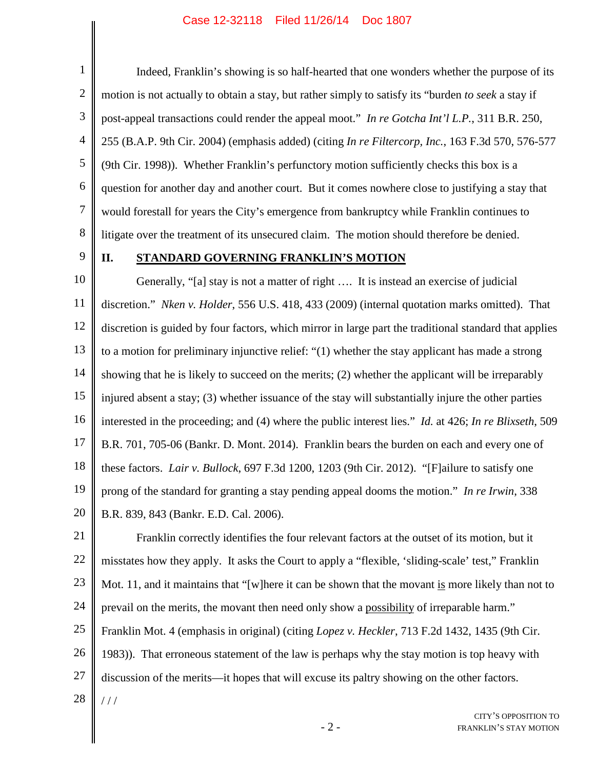1 2 3 4 5 6 7 8 Indeed, Franklin's showing is so half-hearted that one wonders whether the purpose of its motion is not actually to obtain a stay, but rather simply to satisfy its "burden *to seek* a stay if post-appeal transactions could render the appeal moot." *In re Gotcha Int'l L.P.*, 311 B.R. 250, 255 (B.A.P. 9th Cir. 2004) (emphasis added) (citing *In re Filtercorp, Inc.*, 163 F.3d 570, 576-577 (9th Cir. 1998)). Whether Franklin's perfunctory motion sufficiently checks this box is a question for another day and another court. But it comes nowhere close to justifying a stay that would forestall for years the City's emergence from bankruptcy while Franklin continues to litigate over the treatment of its unsecured claim. The motion should therefore be denied.

9

### **II. STANDARD GOVERNING FRANKLIN'S MOTION**

10 11 12 13 14 15 16 17 18 19 20 Generally, "[a] stay is not a matter of right …. It is instead an exercise of judicial discretion." *Nken v. Holder*, 556 U.S. 418, 433 (2009) (internal quotation marks omitted). That discretion is guided by four factors, which mirror in large part the traditional standard that applies to a motion for preliminary injunctive relief: "(1) whether the stay applicant has made a strong showing that he is likely to succeed on the merits; (2) whether the applicant will be irreparably injured absent a stay; (3) whether issuance of the stay will substantially injure the other parties interested in the proceeding; and (4) where the public interest lies." *Id.* at 426; *In re Blixseth*, 509 B.R. 701, 705-06 (Bankr. D. Mont. 2014). Franklin bears the burden on each and every one of these factors. *Lair v. Bullock*, 697 F.3d 1200, 1203 (9th Cir. 2012). "[F]ailure to satisfy one prong of the standard for granting a stay pending appeal dooms the motion." *In re Irwin*, 338 B.R. 839, 843 (Bankr. E.D. Cal. 2006).

21 22 23 24 25 26 27 28 Franklin correctly identifies the four relevant factors at the outset of its motion, but it misstates how they apply. It asks the Court to apply a "flexible, 'sliding-scale' test," Franklin Mot. 11, and it maintains that "[w]here it can be shown that the movant is more likely than not to prevail on the merits, the movant then need only show a possibility of irreparable harm." Franklin Mot. 4 (emphasis in original) (citing *Lopez v. Heckler*, 713 F.2d 1432, 1435 (9th Cir. 1983)). That erroneous statement of the law is perhaps why the stay motion is top heavy with discussion of the merits—it hopes that will excuse its paltry showing on the other factors. / / /

> CITY'S OPPOSITION TO FRANKLIN'S STAY MOTION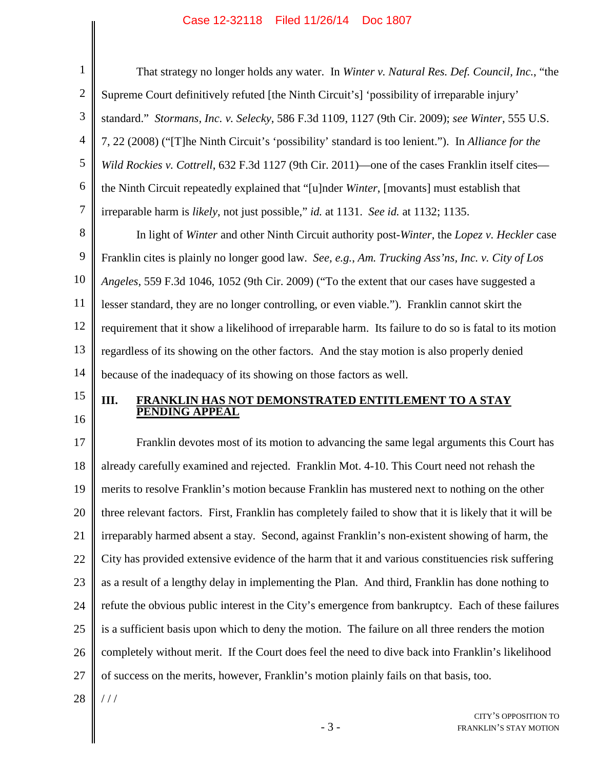| 1              | That strategy no longer holds any water. In Winter v. Natural Res. Def. Council, Inc., "the            |
|----------------|--------------------------------------------------------------------------------------------------------|
| $\overline{2}$ | Supreme Court definitively refuted [the Ninth Circuit's] 'possibility of irreparable injury'           |
| 3              | standard." Stormans, Inc. v. Selecky, 586 F.3d 1109, 1127 (9th Cir. 2009); see Winter, 555 U.S.        |
| $\overline{4}$ | 7, 22 (2008) ("[T]he Ninth Circuit's 'possibility' standard is too lenient."). In Alliance for the     |
| 5              | Wild Rockies v. Cottrell, 632 F.3d 1127 (9th Cir. 2011)—one of the cases Franklin itself cites—        |
| 6              | the Ninth Circuit repeatedly explained that "[u]nder Winter, [movants] must establish that             |
| $\overline{7}$ | irreparable harm is likely, not just possible," id. at 1131. See id. at 1132; 1135.                    |
| 8              | In light of Winter and other Ninth Circuit authority post-Winter, the Lopez v. Heckler case            |
| 9              | Franklin cites is plainly no longer good law. See, e.g., Am. Trucking Ass'ns, Inc. v. City of Los      |
| 10             | Angeles, 559 F.3d 1046, 1052 (9th Cir. 2009) ("To the extent that our cases have suggested a           |
| 11             | lesser standard, they are no longer controlling, or even viable."). Franklin cannot skirt the          |
| 12             | requirement that it show a likelihood of irreparable harm. Its failure to do so is fatal to its motion |
| 13             | regardless of its showing on the other factors. And the stay motion is also properly denied            |
| 14             | because of the inadequacy of its showing on those factors as well.                                     |
|                |                                                                                                        |

- 15
- 16

# **III. FRANKLIN HAS NOT DEMONSTRATED ENTITLEMENT TO A STAY PENDING APPEAL**

17 18 19 20 21 22 23 24 25 26 27 Franklin devotes most of its motion to advancing the same legal arguments this Court has already carefully examined and rejected. Franklin Mot. 4-10. This Court need not rehash the merits to resolve Franklin's motion because Franklin has mustered next to nothing on the other three relevant factors. First, Franklin has completely failed to show that it is likely that it will be irreparably harmed absent a stay. Second, against Franklin's non-existent showing of harm, the City has provided extensive evidence of the harm that it and various constituencies risk suffering as a result of a lengthy delay in implementing the Plan. And third, Franklin has done nothing to refute the obvious public interest in the City's emergence from bankruptcy. Each of these failures is a sufficient basis upon which to deny the motion. The failure on all three renders the motion completely without merit. If the Court does feel the need to dive back into Franklin's likelihood of success on the merits, however, Franklin's motion plainly fails on that basis, too.

28 / / /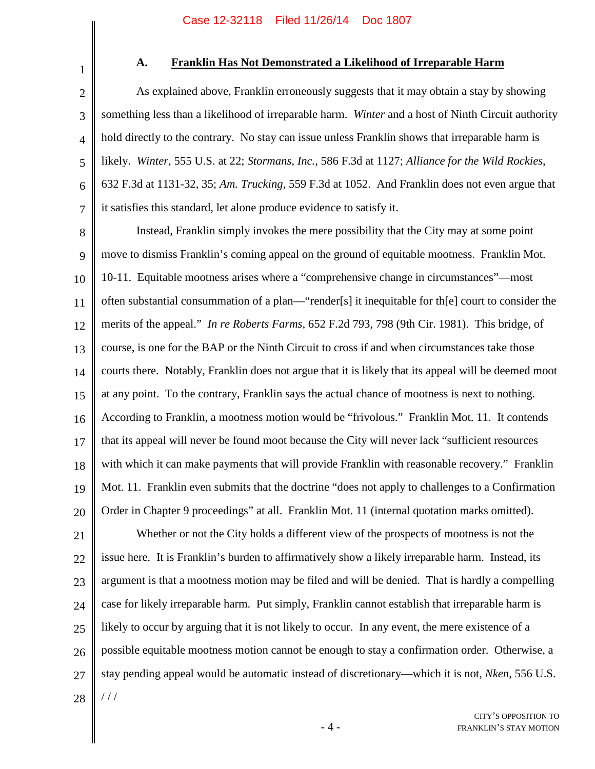1

2

3

4

5

6

7

## **A. Franklin Has Not Demonstrated a Likelihood of Irreparable Harm**

As explained above, Franklin erroneously suggests that it may obtain a stay by showing something less than a likelihood of irreparable harm. *Winter* and a host of Ninth Circuit authority hold directly to the contrary. No stay can issue unless Franklin shows that irreparable harm is likely. *Winter*, 555 U.S. at 22; *Stormans, Inc.*, 586 F.3d at 1127; *Alliance for the Wild Rockies*, 632 F.3d at 1131-32, 35; *Am. Trucking*, 559 F.3d at 1052. And Franklin does not even argue that it satisfies this standard, let alone produce evidence to satisfy it.

8 9 10 11 12 13 14 15 16 17 18 19 20 Instead, Franklin simply invokes the mere possibility that the City may at some point move to dismiss Franklin's coming appeal on the ground of equitable mootness. Franklin Mot. 10-11. Equitable mootness arises where a "comprehensive change in circumstances"—most often substantial consummation of a plan—"render[s] it inequitable for th[e] court to consider the merits of the appeal." *In re Roberts Farms*, 652 F.2d 793, 798 (9th Cir. 1981). This bridge, of course, is one for the BAP or the Ninth Circuit to cross if and when circumstances take those courts there. Notably, Franklin does not argue that it is likely that its appeal will be deemed moot at any point. To the contrary, Franklin says the actual chance of mootness is next to nothing. According to Franklin, a mootness motion would be "frivolous." Franklin Mot. 11. It contends that its appeal will never be found moot because the City will never lack "sufficient resources with which it can make payments that will provide Franklin with reasonable recovery." Franklin Mot. 11. Franklin even submits that the doctrine "does not apply to challenges to a Confirmation Order in Chapter 9 proceedings" at all. Franklin Mot. 11 (internal quotation marks omitted).

21 22 23 24 25 26 27 28 Whether or not the City holds a different view of the prospects of mootness is not the issue here. It is Franklin's burden to affirmatively show a likely irreparable harm. Instead, its argument is that a mootness motion may be filed and will be denied. That is hardly a compelling case for likely irreparable harm. Put simply, Franklin cannot establish that irreparable harm is likely to occur by arguing that it is not likely to occur. In any event, the mere existence of a possible equitable mootness motion cannot be enough to stay a confirmation order. Otherwise, a stay pending appeal would be automatic instead of discretionary—which it is not, *Nken*, 556 U.S.  $11<sup>1</sup>$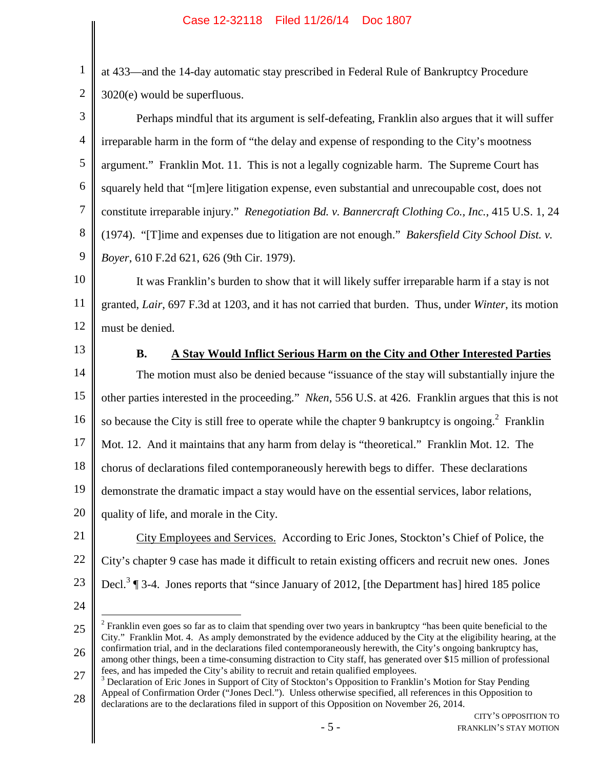2 at 433—and the 14-day automatic stay prescribed in Federal Rule of Bankruptcy Procedure 3020(e) would be superfluous.

3 4 5 6 7 8 9 Perhaps mindful that its argument is self-defeating, Franklin also argues that it will suffer irreparable harm in the form of "the delay and expense of responding to the City's mootness argument." Franklin Mot. 11. This is not a legally cognizable harm. The Supreme Court has squarely held that "[m]ere litigation expense, even substantial and unrecoupable cost, does not constitute irreparable injury." *Renegotiation Bd. v. Bannercraft Clothing Co., Inc.*, 415 U.S. 1, 24 (1974). "[T]ime and expenses due to litigation are not enough." *Bakersfield City School Dist. v. Boyer*, 610 F.2d 621, 626 (9th Cir. 1979).

10 11 12 It was Franklin's burden to show that it will likely suffer irreparable harm if a stay is not granted, *Lair*, 697 F.3d at 1203, and it has not carried that burden. Thus, under *Winter*, its motion must be denied.

13

1

# **B. A Stay Would Inflict Serious Harm on the City and Other Interested Parties**

14 15 16 17 18 19 20 The motion must also be denied because "issuance of the stay will substantially injure the other parties interested in the proceeding." *Nken*, 556 U.S. at 426. Franklin argues that this is not so because the City is still free to operate while the chapter 9 bankruptcy is ongoing.<sup>2</sup> Franklin Mot. 12. And it maintains that any harm from delay is "theoretical." Franklin Mot. 12. The chorus of declarations filed contemporaneously herewith begs to differ. These declarations demonstrate the dramatic impact a stay would have on the essential services, labor relations, quality of life, and morale in the City.

21 22 23 City Employees and Services. According to Eric Jones, Stockton's Chief of Police, the City's chapter 9 case has made it difficult to retain existing officers and recruit new ones. Jones Decl.<sup>3</sup>  $\P$  3-4. Jones reports that "since January of 2012, [the Department has] hired 185 police

<sup>25</sup> 26  $2^2$  Franklin even goes so far as to claim that spending over two years in bankruptcy "has been quite beneficial to the City." Franklin Mot. 4. As amply demonstrated by the evidence adduced by the City at the eligibility hearing, at the confirmation trial, and in the declarations filed contemporaneously herewith, the City's ongoing bankruptcy has, among other things, been a time-consuming distraction to City staff, has generated over \$15 million of professional

<sup>27</sup> fees, and has impeded the City's ability to recruit and retain qualified employees.

<sup>28</sup> <sup>3</sup> Declaration of Eric Jones in Support of City of Stockton's Opposition to Franklin's Motion for Stay Pending Appeal of Confirmation Order ("Jones Decl."). Unless otherwise specified, all references in this Opposition to declarations are to the declarations filed in support of this Opposition on November 26, 2014.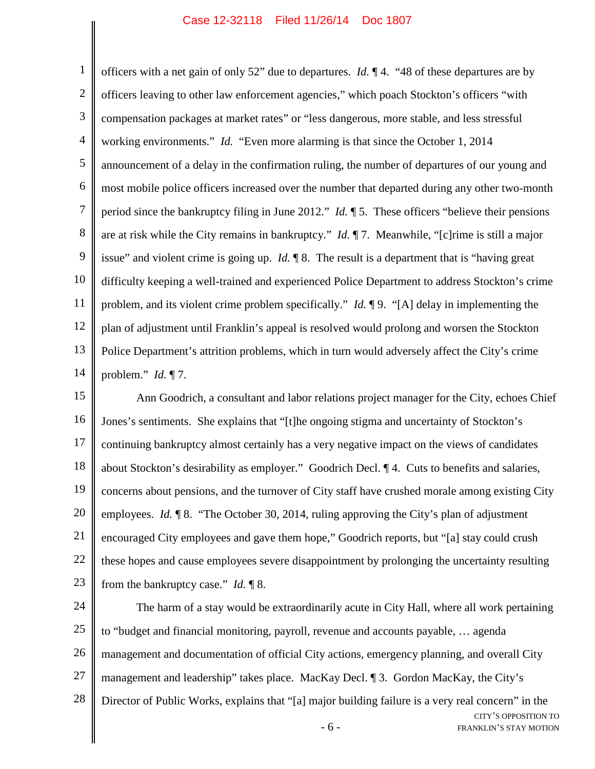1 2 3 4 5 6 7 8 9 10 11 12 13 14 officers with a net gain of only 52" due to departures. *Id.* ¶ 4. "48 of these departures are by officers leaving to other law enforcement agencies," which poach Stockton's officers "with compensation packages at market rates" or "less dangerous, more stable, and less stressful working environments." *Id.* "Even more alarming is that since the October 1, 2014 announcement of a delay in the confirmation ruling, the number of departures of our young and most mobile police officers increased over the number that departed during any other two-month period since the bankruptcy filing in June 2012." *Id.* ¶ 5. These officers "believe their pensions are at risk while the City remains in bankruptcy." *Id.* ¶ 7. Meanwhile, "[c]rime is still a major issue" and violent crime is going up. *Id.* ¶ 8. The result is a department that is "having great difficulty keeping a well-trained and experienced Police Department to address Stockton's crime problem, and its violent crime problem specifically." *Id.* ¶ 9. "[A] delay in implementing the plan of adjustment until Franklin's appeal is resolved would prolong and worsen the Stockton Police Department's attrition problems, which in turn would adversely affect the City's crime problem." *Id.* ¶ 7.

15 16 17 18 19 20 21 22 23 Ann Goodrich, a consultant and labor relations project manager for the City, echoes Chief Jones's sentiments. She explains that "[t]he ongoing stigma and uncertainty of Stockton's continuing bankruptcy almost certainly has a very negative impact on the views of candidates about Stockton's desirability as employer." Goodrich Decl. ¶ 4. Cuts to benefits and salaries, concerns about pensions, and the turnover of City staff have crushed morale among existing City employees. *Id.* ¶ 8. "The October 30, 2014, ruling approving the City's plan of adjustment encouraged City employees and gave them hope," Goodrich reports, but "[a] stay could crush these hopes and cause employees severe disappointment by prolonging the uncertainty resulting from the bankruptcy case." *Id.* ¶ 8.

- 6 - CITY'S OPPOSITION TO 24 25 26 27 28 The harm of a stay would be extraordinarily acute in City Hall, where all work pertaining to "budget and financial monitoring, payroll, revenue and accounts payable, … agenda management and documentation of official City actions, emergency planning, and overall City management and leadership" takes place. MacKay Decl. ¶ 3. Gordon MacKay, the City's Director of Public Works, explains that "[a] major building failure is a very real concern" in the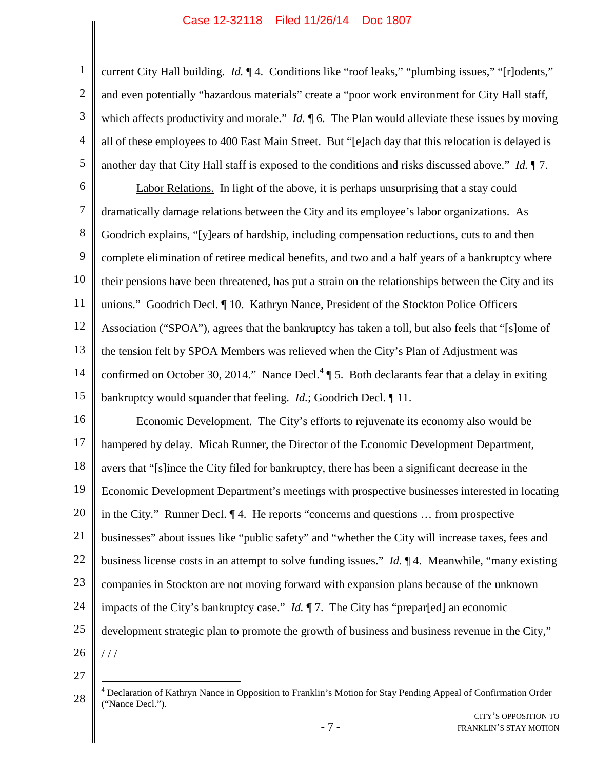1 2 3 4 5 current City Hall building. *Id.*  $\P$  4. Conditions like "roof leaks," "plumbing issues," "[r]odents," and even potentially "hazardous materials" create a "poor work environment for City Hall staff, which affects productivity and morale." *Id.*  $\parallel$  6. The Plan would alleviate these issues by moving all of these employees to 400 East Main Street. But "[e]ach day that this relocation is delayed is another day that City Hall staff is exposed to the conditions and risks discussed above." *Id.* ¶ 7.

6 7 8 9 10 11 12 13 14 15 Labor Relations. In light of the above, it is perhaps unsurprising that a stay could dramatically damage relations between the City and its employee's labor organizations. As Goodrich explains, "[y]ears of hardship, including compensation reductions, cuts to and then complete elimination of retiree medical benefits, and two and a half years of a bankruptcy where their pensions have been threatened, has put a strain on the relationships between the City and its unions." Goodrich Decl. ¶ 10. Kathryn Nance, President of the Stockton Police Officers Association ("SPOA"), agrees that the bankruptcy has taken a toll, but also feels that "[s]ome of the tension felt by SPOA Members was relieved when the City's Plan of Adjustment was confirmed on October 30, 2014." Nance Decl.<sup>4</sup>  $\llbracket$  5. Both declarants fear that a delay in exiting bankruptcy would squander that feeling. *Id.*; Goodrich Decl. ¶ 11.

16 17 18 19 20 21 22 23 24 25 26 Economic Development. The City's efforts to rejuvenate its economy also would be hampered by delay. Micah Runner, the Director of the Economic Development Department, avers that "[s]ince the City filed for bankruptcy, there has been a significant decrease in the Economic Development Department's meetings with prospective businesses interested in locating in the City." Runner Decl. ¶ 4. He reports "concerns and questions … from prospective businesses" about issues like "public safety" and "whether the City will increase taxes, fees and business license costs in an attempt to solve funding issues." *Id.* ¶ 4. Meanwhile, "many existing companies in Stockton are not moving forward with expansion plans because of the unknown impacts of the City's bankruptcy case." *Id.* ¶ 7. The City has "prepar[ed] an economic development strategic plan to promote the growth of business and business revenue in the City," / / /

<sup>28</sup> <sup>4</sup> Declaration of Kathryn Nance in Opposition to Franklin's Motion for Stay Pending Appeal of Confirmation Order ("Nance Decl.").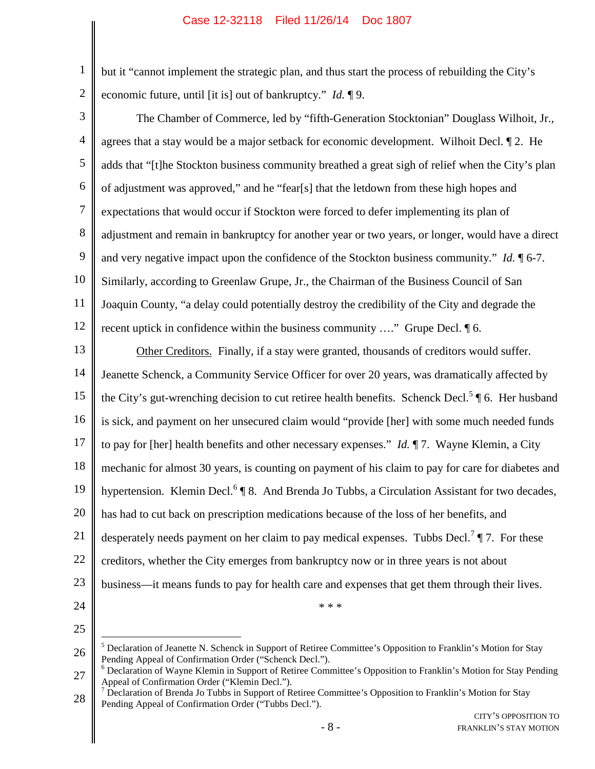2 but it "cannot implement the strategic plan, and thus start the process of rebuilding the City's economic future, until [it is] out of bankruptcy." *Id.* ¶ 9.

3

1

4 5 6 7 8 9 10 11 12 The Chamber of Commerce, led by "fifth-Generation Stocktonian" Douglass Wilhoit, Jr., agrees that a stay would be a major setback for economic development. Wilhoit Decl. ¶ 2. He adds that "[t]he Stockton business community breathed a great sigh of relief when the City's plan of adjustment was approved," and he "fear[s] that the letdown from these high hopes and expectations that would occur if Stockton were forced to defer implementing its plan of adjustment and remain in bankruptcy for another year or two years, or longer, would have a direct and very negative impact upon the confidence of the Stockton business community." *Id.* ¶ 6-7. Similarly, according to Greenlaw Grupe, Jr., the Chairman of the Business Council of San Joaquin County, "a delay could potentially destroy the credibility of the City and degrade the recent uptick in confidence within the business community …." Grupe Decl. ¶ 6.

13 14 15 16 17 18 19 20 21 22 23 24 Other Creditors. Finally, if a stay were granted, thousands of creditors would suffer. Jeanette Schenck, a Community Service Officer for over 20 years, was dramatically affected by the City's gut-wrenching decision to cut retiree health benefits. Schenck Decl.<sup>5</sup> ¶ 6. Her husband is sick, and payment on her unsecured claim would "provide [her] with some much needed funds to pay for [her] health benefits and other necessary expenses." *Id.* ¶ 7. Wayne Klemin, a City mechanic for almost 30 years, is counting on payment of his claim to pay for care for diabetes and hypertension. Klemin Decl.<sup>6</sup> | 8. And Brenda Jo Tubbs, a Circulation Assistant for two decades, has had to cut back on prescription medications because of the loss of her benefits, and desperately needs payment on her claim to pay medical expenses. Tubbs Decl.<sup>7</sup>  $\P$  7. For these creditors, whether the City emerges from bankruptcy now or in three years is not about business—it means funds to pay for health care and expenses that get them through their lives. \* \* \*

<sup>26</sup>  $<sup>5</sup>$  Declaration of Jeanette N. Schenck in Support of Retiree Committee's Opposition to Franklin's Motion for Stay</sup> Pending Appeal of Confirmation Order ("Schenck Decl.").

<sup>27</sup> <sup>6</sup> Declaration of Wayne Klemin in Support of Retiree Committee's Opposition to Franklin's Motion for Stay Pending Appeal of Confirmation Order ("Klemin Decl.").

<sup>28</sup>  $7$  Declaration of Brenda Jo Tubbs in Support of Retiree Committee's Opposition to Franklin's Motion for Stay Pending Appeal of Confirmation Order ("Tubbs Decl.").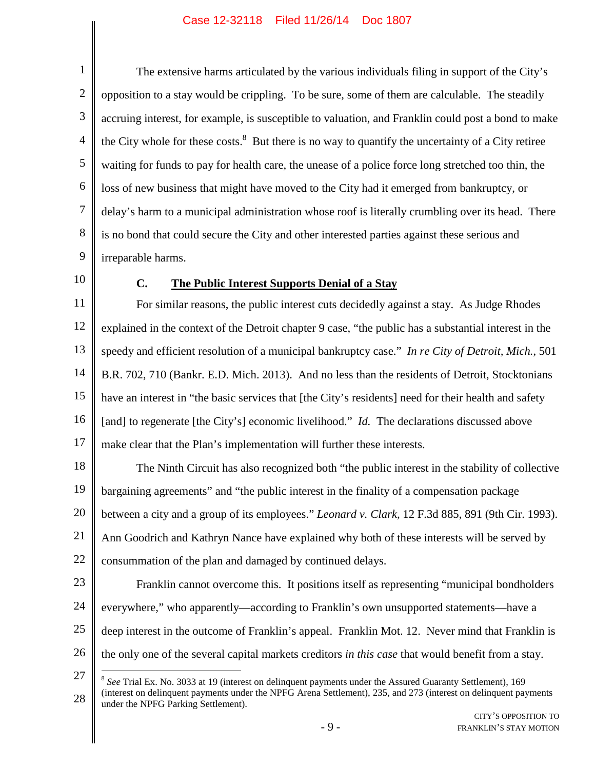1 2 3 4 5 6 7 8 9 The extensive harms articulated by the various individuals filing in support of the City's opposition to a stay would be crippling. To be sure, some of them are calculable. The steadily accruing interest, for example, is susceptible to valuation, and Franklin could post a bond to make the City whole for these costs. $8$  But there is no way to quantify the uncertainty of a City retiree waiting for funds to pay for health care, the unease of a police force long stretched too thin, the loss of new business that might have moved to the City had it emerged from bankruptcy, or delay's harm to a municipal administration whose roof is literally crumbling over its head. There is no bond that could secure the City and other interested parties against these serious and irreparable harms.

10

## **C. The Public Interest Supports Denial of a Stay**

11 12 13 14 15 16 17 For similar reasons, the public interest cuts decidedly against a stay. As Judge Rhodes explained in the context of the Detroit chapter 9 case, "the public has a substantial interest in the speedy and efficient resolution of a municipal bankruptcy case." *In re City of Detroit, Mich.*, 501 B.R. 702, 710 (Bankr. E.D. Mich. 2013). And no less than the residents of Detroit, Stocktonians have an interest in "the basic services that [the City's residents] need for their health and safety [and] to regenerate [the City's] economic livelihood." *Id.* The declarations discussed above make clear that the Plan's implementation will further these interests.

18 19 20 21 22 The Ninth Circuit has also recognized both "the public interest in the stability of collective bargaining agreements" and "the public interest in the finality of a compensation package between a city and a group of its employees." *Leonard v. Clark*, 12 F.3d 885, 891 (9th Cir. 1993). Ann Goodrich and Kathryn Nance have explained why both of these interests will be served by consummation of the plan and damaged by continued delays.

23

24 25 Franklin cannot overcome this. It positions itself as representing "municipal bondholders everywhere," who apparently—according to Franklin's own unsupported statements—have a deep interest in the outcome of Franklin's appeal. Franklin Mot. 12. Never mind that Franklin is the only one of the several capital markets creditors *in this case* that would benefit from a stay.

26

27 28 8 *See* Trial Ex. No. 3033 at 19 (interest on delinquent payments under the Assured Guaranty Settlement), 169 (interest on delinquent payments under the NPFG Arena Settlement), 235, and 273 (interest on delinquent payments under the NPFG Parking Settlement).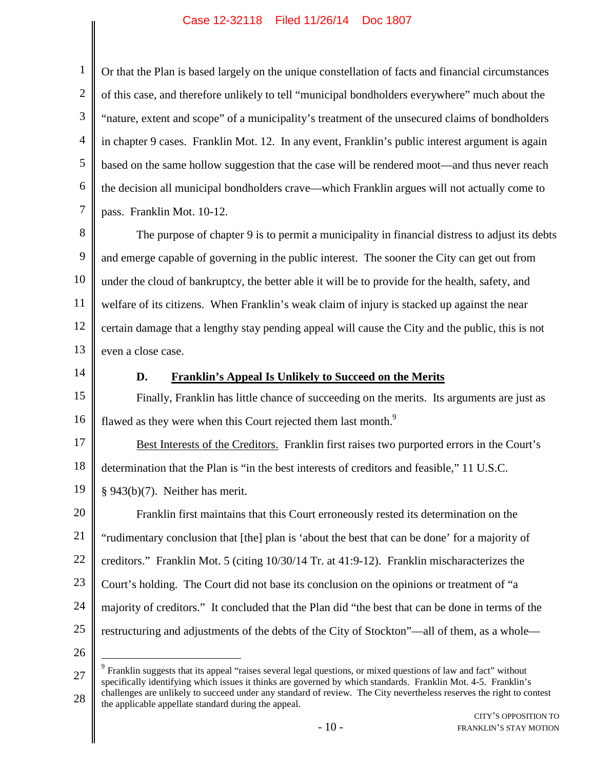1 2 3 4 5 6 7 Or that the Plan is based largely on the unique constellation of facts and financial circumstances of this case, and therefore unlikely to tell "municipal bondholders everywhere" much about the "nature, extent and scope" of a municipality's treatment of the unsecured claims of bondholders in chapter 9 cases. Franklin Mot. 12. In any event, Franklin's public interest argument is again based on the same hollow suggestion that the case will be rendered moot—and thus never reach the decision all municipal bondholders crave—which Franklin argues will not actually come to pass. Franklin Mot. 10-12.

8 9 10 11 12 13 The purpose of chapter 9 is to permit a municipality in financial distress to adjust its debts and emerge capable of governing in the public interest. The sooner the City can get out from under the cloud of bankruptcy, the better able it will be to provide for the health, safety, and welfare of its citizens. When Franklin's weak claim of injury is stacked up against the near certain damage that a lengthy stay pending appeal will cause the City and the public, this is not even a close case.

14

## **D. Franklin's Appeal Is Unlikely to Succeed on the Merits**

15 16 Finally, Franklin has little chance of succeeding on the merits. Its arguments are just as flawed as they were when this Court rejected them last month.<sup>9</sup>

17 18 Best Interests of the Creditors. Franklin first raises two purported errors in the Court's determination that the Plan is "in the best interests of creditors and feasible," 11 U.S.C.

19 § 943(b)(7). Neither has merit.

20 21 22 23 24 25 Franklin first maintains that this Court erroneously rested its determination on the "rudimentary conclusion that [the] plan is 'about the best that can be done' for a majority of creditors." Franklin Mot. 5 (citing 10/30/14 Tr. at 41:9-12). Franklin mischaracterizes the Court's holding. The Court did not base its conclusion on the opinions or treatment of "a majority of creditors." It concluded that the Plan did "the best that can be done in terms of the restructuring and adjustments of the debts of the City of Stockton"—all of them, as a whole—

<sup>27</sup> 28 <sup>9</sup> Franklin suggests that its appeal "raises several legal questions, or mixed questions of law and fact" without specifically identifying which issues it thinks are governed by which standards. Franklin Mot. 4-5. Franklin's challenges are unlikely to succeed under any standard of review. The City nevertheless reserves the right to contest the applicable appellate standard during the appeal.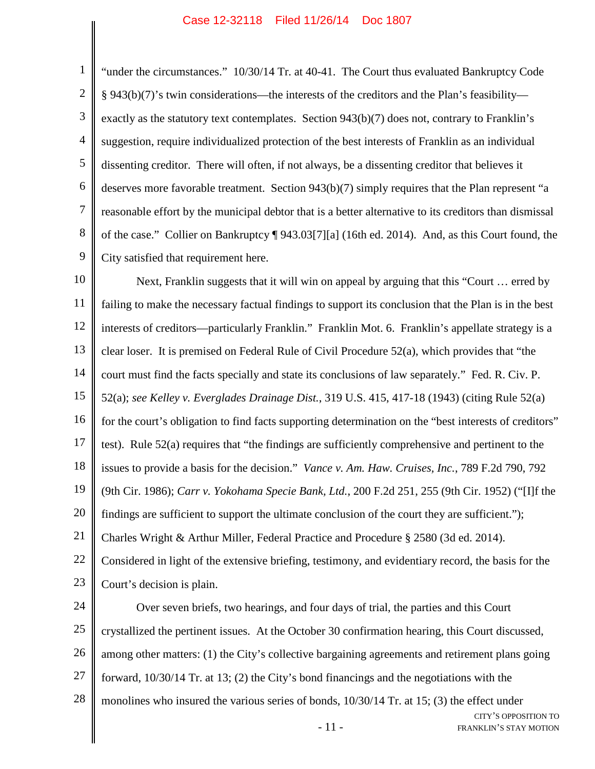1 2 3 4 5 6 7 8 9 "under the circumstances." 10/30/14 Tr. at 40-41. The Court thus evaluated Bankruptcy Code § 943(b)(7)'s twin considerations—the interests of the creditors and the Plan's feasibility exactly as the statutory text contemplates. Section 943(b)(7) does not, contrary to Franklin's suggestion, require individualized protection of the best interests of Franklin as an individual dissenting creditor. There will often, if not always, be a dissenting creditor that believes it deserves more favorable treatment. Section 943(b)(7) simply requires that the Plan represent "a reasonable effort by the municipal debtor that is a better alternative to its creditors than dismissal of the case." Collier on Bankruptcy ¶ 943.03[7][a] (16th ed. 2014). And, as this Court found, the City satisfied that requirement here.

10 11 12 13 14 15 16 17 18 19 20 21 22 23 24 25 26 Next, Franklin suggests that it will win on appeal by arguing that this "Court … erred by failing to make the necessary factual findings to support its conclusion that the Plan is in the best interests of creditors—particularly Franklin." Franklin Mot. 6. Franklin's appellate strategy is a clear loser. It is premised on Federal Rule of Civil Procedure 52(a), which provides that "the court must find the facts specially and state its conclusions of law separately." Fed. R. Civ. P. 52(a); *see Kelley v. Everglades Drainage Dist.*, 319 U.S. 415, 417-18 (1943) (citing Rule 52(a) for the court's obligation to find facts supporting determination on the "best interests of creditors" test). Rule 52(a) requires that "the findings are sufficiently comprehensive and pertinent to the issues to provide a basis for the decision." *Vance v. Am. Haw. Cruises, Inc.*, 789 F.2d 790, 792 (9th Cir. 1986); *Carr v. Yokohama Specie Bank, Ltd.*, 200 F.2d 251, 255 (9th Cir. 1952) ("[I]f the findings are sufficient to support the ultimate conclusion of the court they are sufficient."); Charles Wright & Arthur Miller, Federal Practice and Procedure § 2580 (3d ed. 2014). Considered in light of the extensive briefing, testimony, and evidentiary record, the basis for the Court's decision is plain. Over seven briefs, two hearings, and four days of trial, the parties and this Court crystallized the pertinent issues. At the October 30 confirmation hearing, this Court discussed, among other matters: (1) the City's collective bargaining agreements and retirement plans going

27 forward, 10/30/14 Tr. at 13; (2) the City's bond financings and the negotiations with the

28 monolines who insured the various series of bonds, 10/30/14 Tr. at 15; (3) the effect under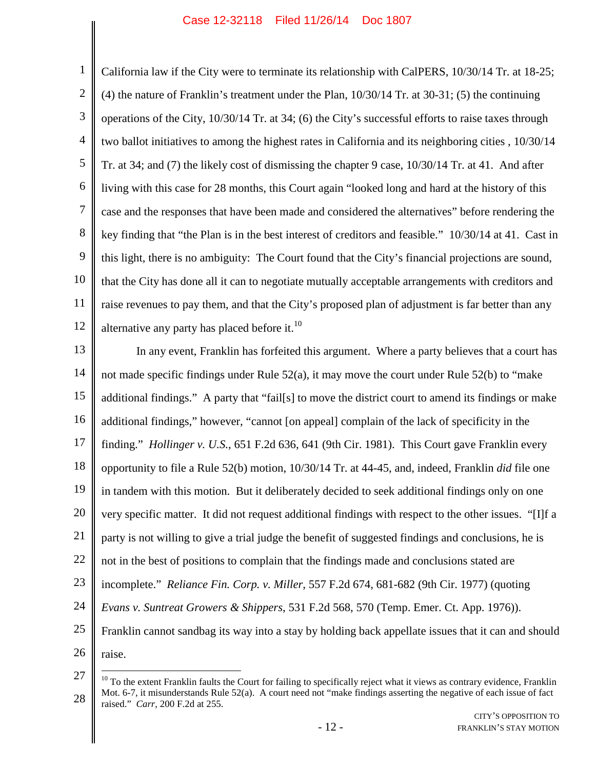1 2 3 4 5 6 7 8 9 10 11 12 California law if the City were to terminate its relationship with CalPERS, 10/30/14 Tr. at 18-25; (4) the nature of Franklin's treatment under the Plan, 10/30/14 Tr. at 30-31; (5) the continuing operations of the City, 10/30/14 Tr. at 34; (6) the City's successful efforts to raise taxes through two ballot initiatives to among the highest rates in California and its neighboring cities , 10/30/14 Tr. at 34; and (7) the likely cost of dismissing the chapter 9 case, 10/30/14 Tr. at 41. And after living with this case for 28 months, this Court again "looked long and hard at the history of this case and the responses that have been made and considered the alternatives" before rendering the key finding that "the Plan is in the best interest of creditors and feasible." 10/30/14 at 41. Cast in this light, there is no ambiguity: The Court found that the City's financial projections are sound, that the City has done all it can to negotiate mutually acceptable arrangements with creditors and raise revenues to pay them, and that the City's proposed plan of adjustment is far better than any alternative any party has placed before it.<sup>10</sup>

13 14 15 16 17 18 19 20 21 22 23 24 25 26 In any event, Franklin has forfeited this argument. Where a party believes that a court has not made specific findings under Rule 52(a), it may move the court under Rule 52(b) to "make additional findings." A party that "fail[s] to move the district court to amend its findings or make additional findings," however, "cannot [on appeal] complain of the lack of specificity in the finding." *Hollinger v. U.S.*, 651 F.2d 636, 641 (9th Cir. 1981). This Court gave Franklin every opportunity to file a Rule 52(b) motion, 10/30/14 Tr. at 44-45, and, indeed, Franklin *did* file one in tandem with this motion. But it deliberately decided to seek additional findings only on one very specific matter. It did not request additional findings with respect to the other issues. "[I]f a party is not willing to give a trial judge the benefit of suggested findings and conclusions, he is not in the best of positions to complain that the findings made and conclusions stated are incomplete." *Reliance Fin. Corp. v. Miller*, 557 F.2d 674, 681-682 (9th Cir. 1977) (quoting *Evans v. Suntreat Growers & Shippers*, 531 F.2d 568, 570 (Temp. Emer. Ct. App. 1976)). Franklin cannot sandbag its way into a stay by holding back appellate issues that it can and should raise.

<sup>27</sup> 28  $10$  To the extent Franklin faults the Court for failing to specifically reject what it views as contrary evidence, Franklin Mot. 6-7, it misunderstands Rule 52(a). A court need not "make findings asserting the negative of each issue of fact raised." *Carr*, 200 F.2d at 255.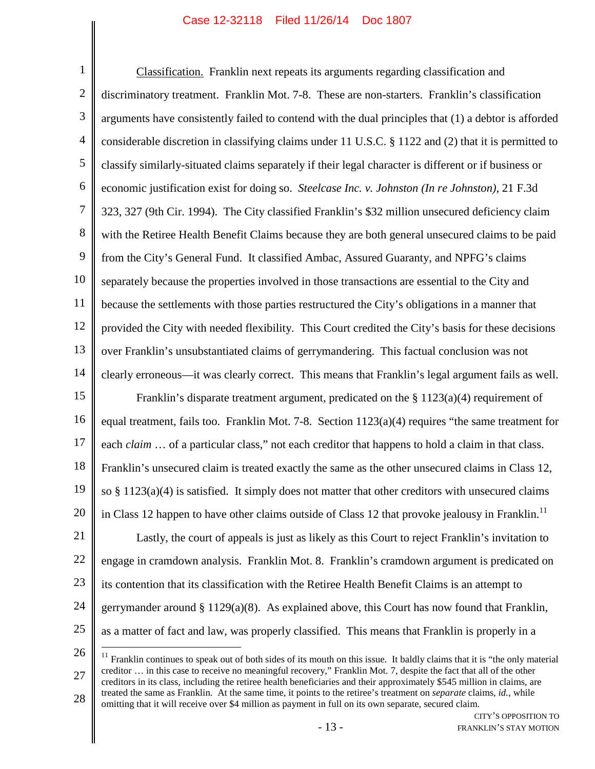1 2 3 4 5 6 7 8 9 10 11 12 13 14 15 16 17 18 19 20 21 22 23 24 25 Classification. Franklin next repeats its arguments regarding classification and discriminatory treatment. Franklin Mot. 7-8. These are non-starters. Franklin's classification arguments have consistently failed to contend with the dual principles that (1) a debtor is afforded considerable discretion in classifying claims under 11 U.S.C. § 1122 and (2) that it is permitted to classify similarly-situated claims separately if their legal character is different or if business or economic justification exist for doing so. *Steelcase Inc. v. Johnston (In re Johnston)*, 21 F.3d 323, 327 (9th Cir. 1994). The City classified Franklin's \$32 million unsecured deficiency claim with the Retiree Health Benefit Claims because they are both general unsecured claims to be paid from the City's General Fund. It classified Ambac, Assured Guaranty, and NPFG's claims separately because the properties involved in those transactions are essential to the City and because the settlements with those parties restructured the City's obligations in a manner that provided the City with needed flexibility. This Court credited the City's basis for these decisions over Franklin's unsubstantiated claims of gerrymandering. This factual conclusion was not clearly erroneous—it was clearly correct. This means that Franklin's legal argument fails as well. Franklin's disparate treatment argument, predicated on the § 1123(a)(4) requirement of equal treatment, fails too. Franklin Mot. 7-8. Section 1123(a)(4) requires "the same treatment for each *claim* ... of a particular class," not each creditor that happens to hold a claim in that class. Franklin's unsecured claim is treated exactly the same as the other unsecured claims in Class 12, so  $\S 1123(a)(4)$  is satisfied. It simply does not matter that other creditors with unsecured claims in Class 12 happen to have other claims outside of Class 12 that provoke jealousy in Franklin.<sup>11</sup> Lastly, the court of appeals is just as likely as this Court to reject Franklin's invitation to engage in cramdown analysis. Franklin Mot. 8. Franklin's cramdown argument is predicated on its contention that its classification with the Retiree Health Benefit Claims is an attempt to gerrymander around  $\S 1129(a)(8)$ . As explained above, this Court has now found that Franklin, as a matter of fact and law, was properly classified. This means that Franklin is properly in a

26

27 28  $11$  Franklin continues to speak out of both sides of its mouth on this issue. It baldly claims that it is "the only material creditor … in this case to receive no meaningful recovery," Franklin Mot. 7, despite the fact that all of the other creditors in its class, including the retiree health beneficiaries and their approximately \$545 million in claims, are treated the same as Franklin. At the same time, it points to the retiree's treatment on *separate* claims, *id.*, while omitting that it will receive over \$4 million as payment in full on its own separate, secured claim.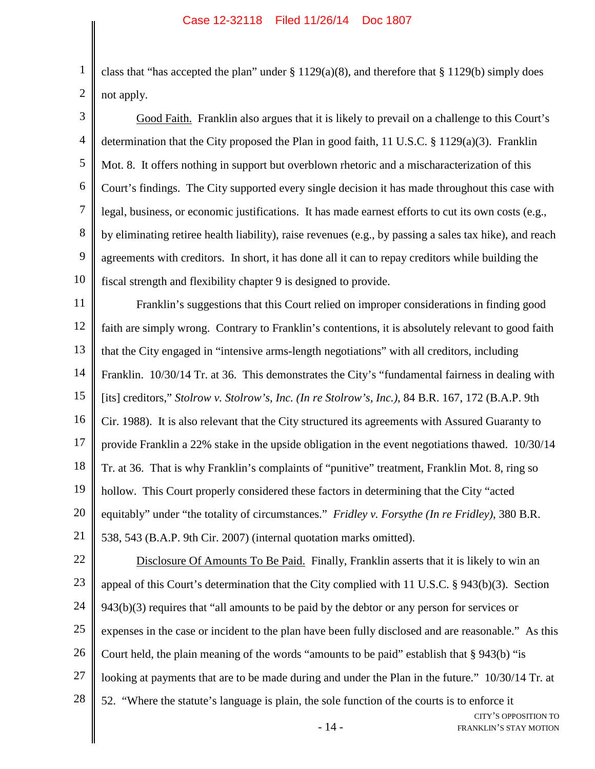1 2 class that "has accepted the plan" under  $\S 1129(a)(8)$ , and therefore that  $\S 1129(b)$  simply does not apply.

3 4 5 6 7 8 9 10 Good Faith. Franklin also argues that it is likely to prevail on a challenge to this Court's determination that the City proposed the Plan in good faith, 11 U.S.C. § 1129(a)(3). Franklin Mot. 8. It offers nothing in support but overblown rhetoric and a mischaracterization of this Court's findings. The City supported every single decision it has made throughout this case with legal, business, or economic justifications. It has made earnest efforts to cut its own costs (e.g., by eliminating retiree health liability), raise revenues (e.g., by passing a sales tax hike), and reach agreements with creditors. In short, it has done all it can to repay creditors while building the fiscal strength and flexibility chapter 9 is designed to provide.

11 12 13 14 15 16 17 18 19 20 21 22 23 Franklin's suggestions that this Court relied on improper considerations in finding good faith are simply wrong. Contrary to Franklin's contentions, it is absolutely relevant to good faith that the City engaged in "intensive arms-length negotiations" with all creditors, including Franklin. 10/30/14 Tr. at 36. This demonstrates the City's "fundamental fairness in dealing with [its] creditors," *Stolrow v. Stolrow's, Inc. (In re Stolrow's, Inc.)*, 84 B.R. 167, 172 (B.A.P. 9th Cir. 1988). It is also relevant that the City structured its agreements with Assured Guaranty to provide Franklin a 22% stake in the upside obligation in the event negotiations thawed. 10/30/14 Tr. at 36. That is why Franklin's complaints of "punitive" treatment, Franklin Mot. 8, ring so hollow. This Court properly considered these factors in determining that the City "acted equitably" under "the totality of circumstances." *Fridley v. Forsythe (In re Fridley)*, 380 B.R. 538, 543 (B.A.P. 9th Cir. 2007) (internal quotation marks omitted). Disclosure Of Amounts To Be Paid. Finally, Franklin asserts that it is likely to win an appeal of this Court's determination that the City complied with 11 U.S.C. § 943(b)(3). Section

24 25 26 27 28 943(b)(3) requires that "all amounts to be paid by the debtor or any person for services or expenses in the case or incident to the plan have been fully disclosed and are reasonable." As this Court held, the plain meaning of the words "amounts to be paid" establish that § 943(b) "is looking at payments that are to be made during and under the Plan in the future." 10/30/14 Tr. at 52. "Where the statute's language is plain, the sole function of the courts is to enforce it